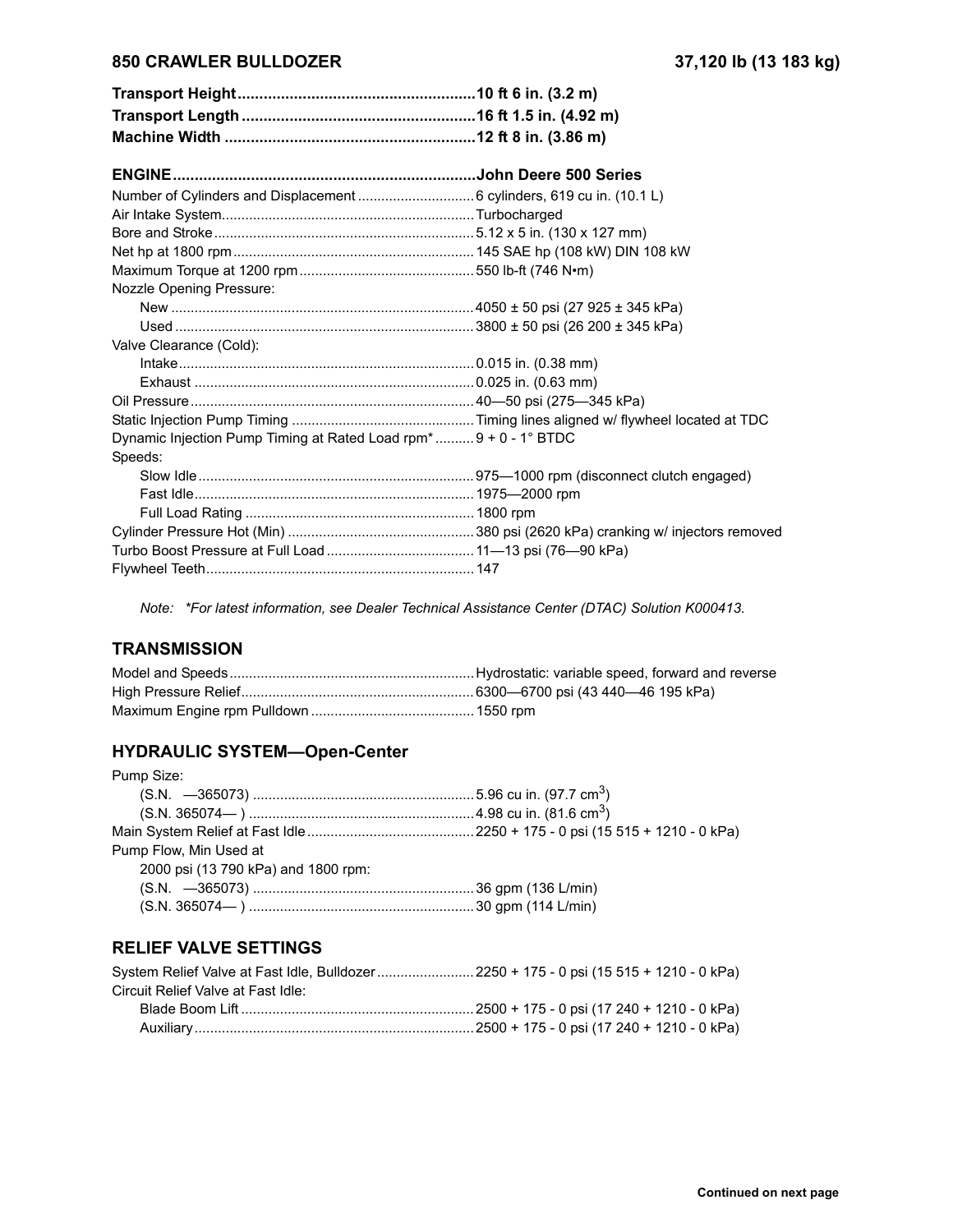## **850 CRAWLER BULLDOZER 37,120 lb (13 183 kg)**

| Nozzle Opening Pressure:                                                     |  |
|------------------------------------------------------------------------------|--|
|                                                                              |  |
|                                                                              |  |
| Valve Clearance (Cold):                                                      |  |
|                                                                              |  |
|                                                                              |  |
|                                                                              |  |
|                                                                              |  |
| Dynamic Injection Pump Timing at Rated Load rpm <sup>*</sup> 9 + 0 - 1° BTDC |  |
| Speeds:                                                                      |  |
|                                                                              |  |
|                                                                              |  |
|                                                                              |  |
|                                                                              |  |
|                                                                              |  |
|                                                                              |  |

*Note: \*For latest information, see Dealer Technical Assistance Center (DTAC) Solution K000413.*

# **TRANSMISSION**

#### **HYDRAULIC SYSTEM-Open-Center**

| Pump Size:                          |  |
|-------------------------------------|--|
|                                     |  |
|                                     |  |
|                                     |  |
| Pump Flow, Min Used at              |  |
| 2000 psi (13 790 kPa) and 1800 rpm: |  |
|                                     |  |
|                                     |  |

# **RELIEF VALVE SETTINGS**

| System Relief Valve at Fast Idle, Bulldozer 2250 + 175 - 0 psi (15 515 + 1210 - 0 kPa) |  |
|----------------------------------------------------------------------------------------|--|
| Circuit Relief Valve at Fast Idle:                                                     |  |
|                                                                                        |  |
|                                                                                        |  |